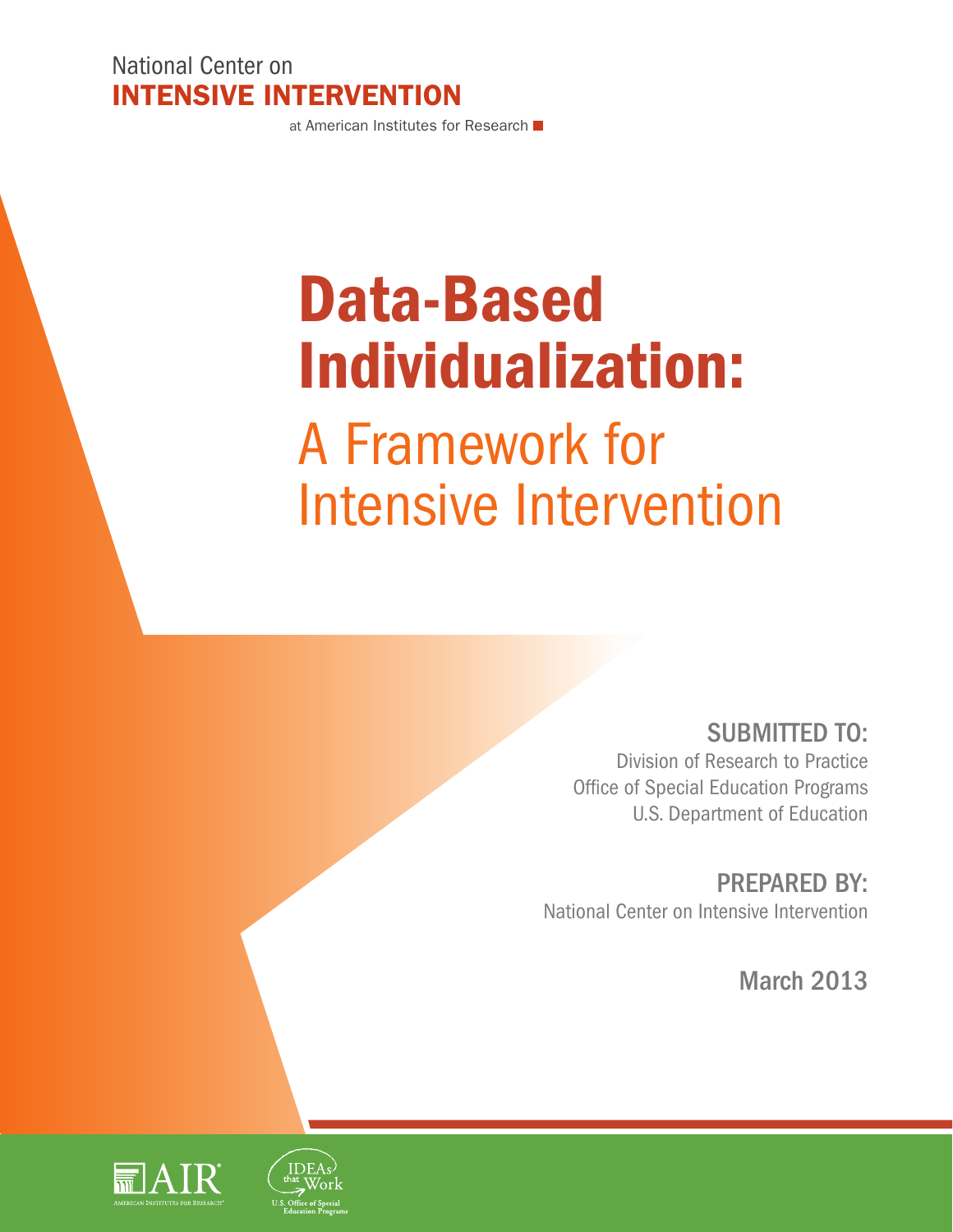National Center on Intensive Intervention

at American Institutes for Research

# Data-Based Individualization: A Framework for Intensive Intervention

SUBMITTED TO: Division of Research to Practice Office of Special Education Programs U.S. Department of Education

PREPARED BY: National Center on Intensive Intervention

March 2013

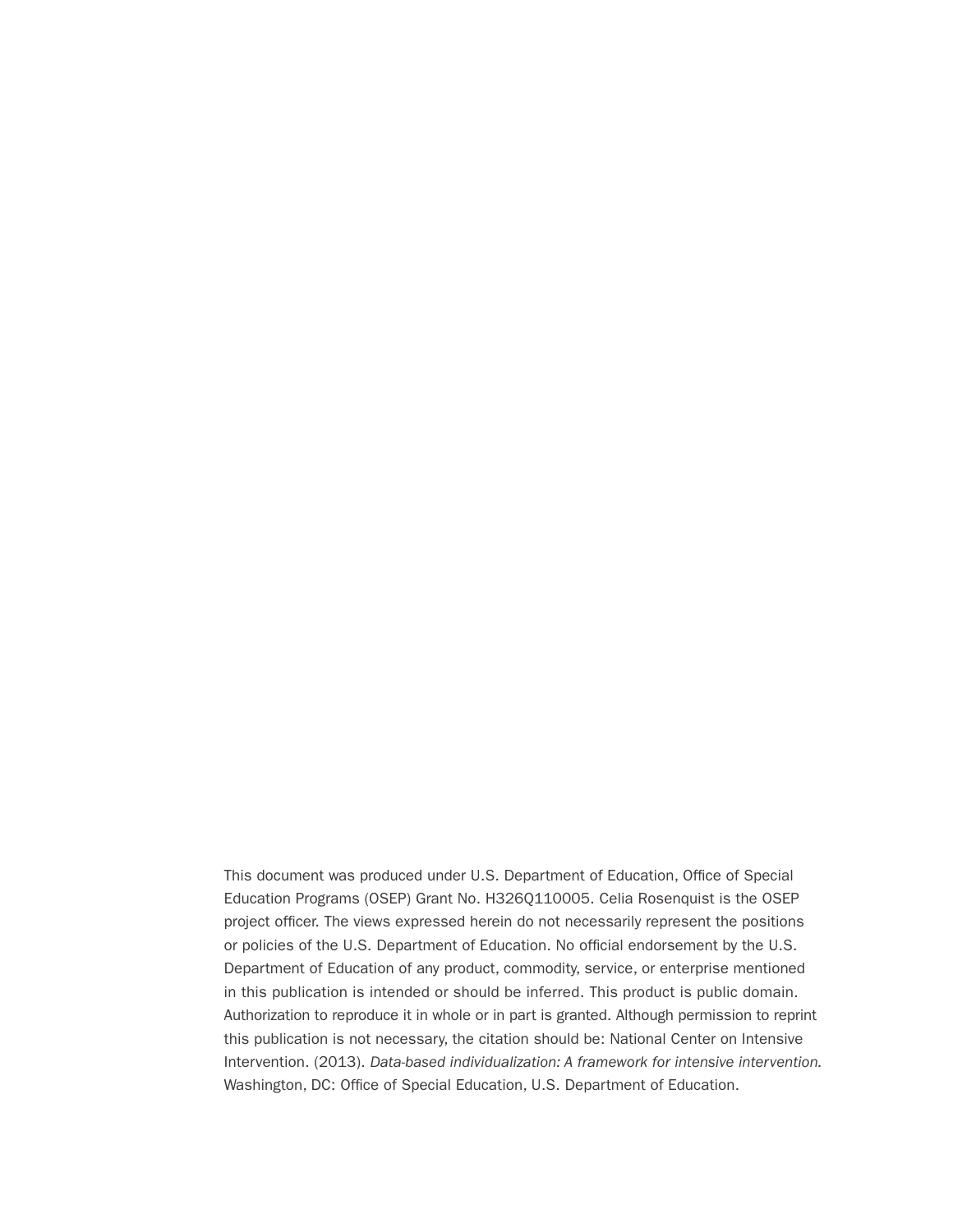This document was produced under U.S. Department of Education, Office of Special Education Programs (OSEP) Grant No. H326Q110005. Celia Rosenquist is the OSEP project officer. The views expressed herein do not necessarily represent the positions or policies of the U.S. Department of Education. No official endorsement by the U.S. Department of Education of any product, commodity, service, or enterprise mentioned in this publication is intended or should be inferred. This product is public domain. Authorization to reproduce it in whole or in part is granted. Although permission to reprint this publication is not necessary, the citation should be: National Center on Intensive Intervention. (2013). *Data-based individualization: A framework for intensive intervention.*  Washington, DC: Office of Special Education, U.S. Department of Education.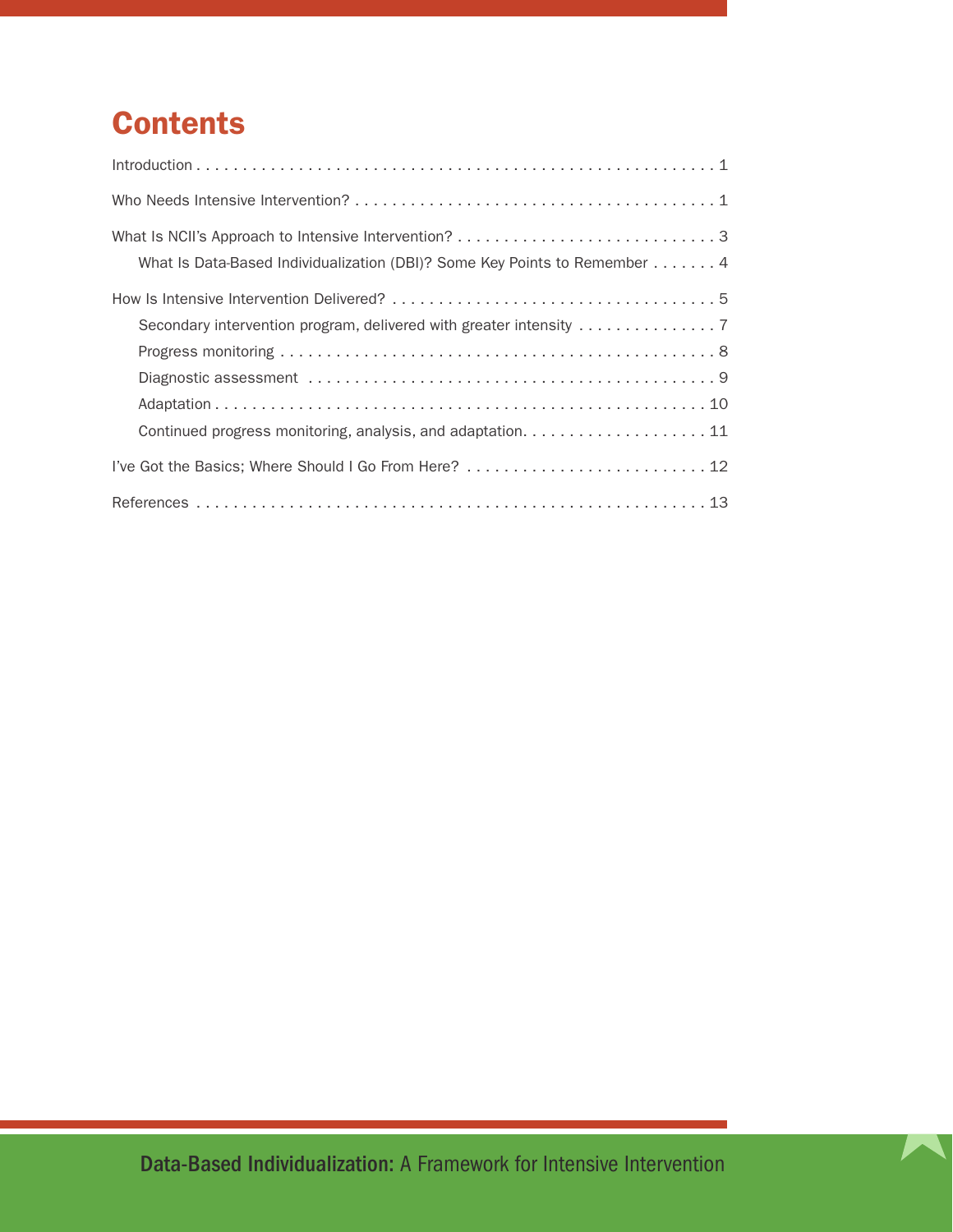# **Contents**

| What Is Data-Based Individualization (DBI)? Some Key Points to Remember 4 |
|---------------------------------------------------------------------------|
|                                                                           |
| Continued progress monitoring, analysis, and adaptation. 11               |
| I've Got the Basics; Where Should I Go From Here?  12                     |
|                                                                           |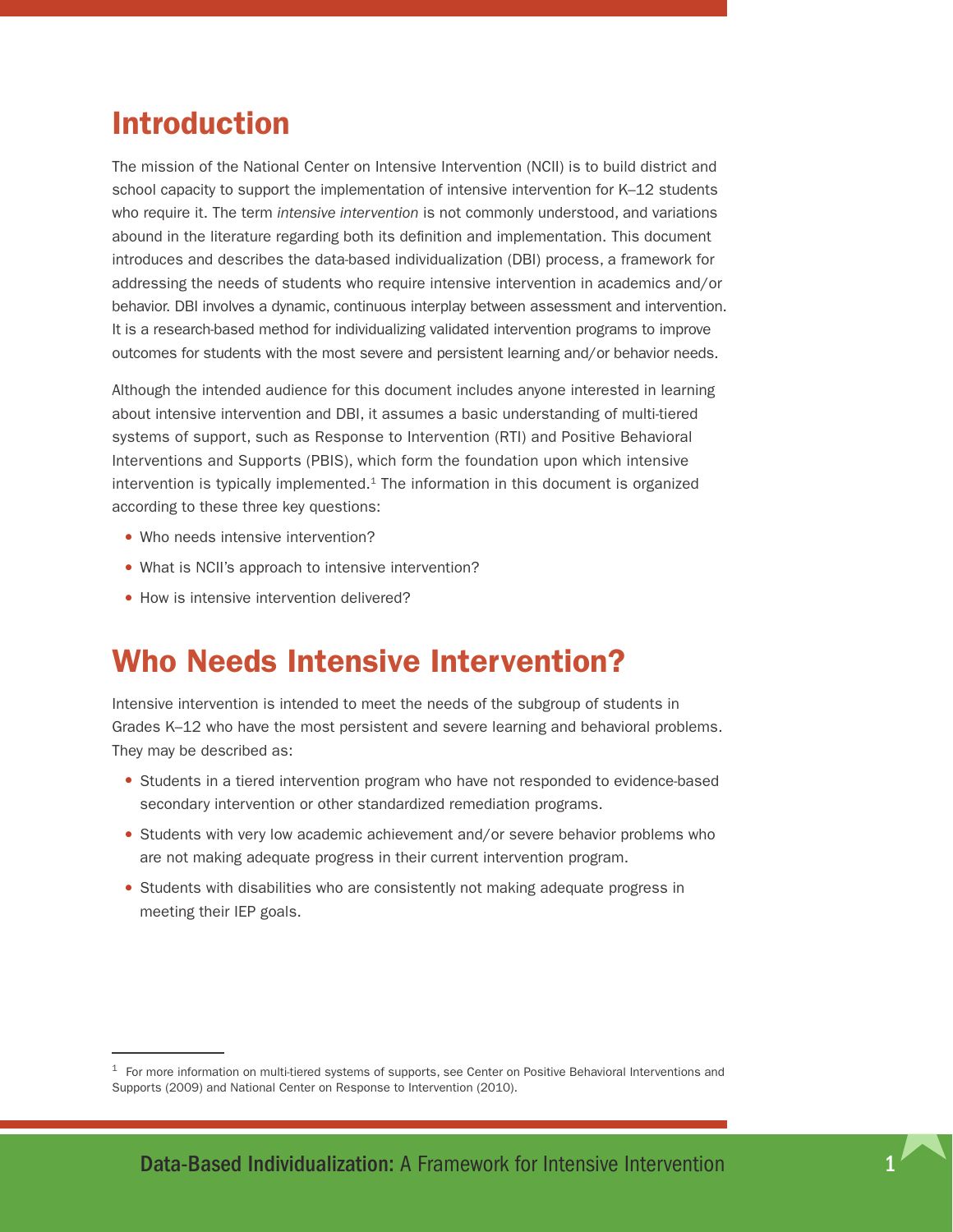### <span id="page-4-0"></span>Introduction

The mission of the National Center on Intensive Intervention (NCII) is to build district and school capacity to support the implementation of intensive intervention for K–12 students who require it. The term *intensive intervention* is not commonly understood, and variations abound in the literature regarding both its definition and implementation. This document introduces and describes the data-based individualization (DBI) process, a framework for addressing the needs of students who require intensive intervention in academics and/or behavior. DBI involves a dynamic, continuous interplay between assessment and intervention. It is a research-based method for individualizing validated intervention programs to improve outcomes for students with the most severe and persistent learning and/or behavior needs.

Although the intended audience for this document includes anyone interested in learning about intensive intervention and DBI, it assumes a basic understanding of multi-tiered systems of support, such as Response to Intervention (RTI) and Positive Behavioral Interventions and Supports (PBIS), which form the foundation upon which intensive intervention is typically implemented. $1$  The information in this document is organized according to these three key questions:

- Who needs intensive intervention?
- What is NCII's approach to intensive intervention?
- How is intensive intervention delivered?

### Who Needs Intensive Intervention?

Intensive intervention is intended to meet the needs of the subgroup of students in Grades K–12 who have the most persistent and severe learning and behavioral problems. They may be described as:

- Students in a tiered intervention program who have not responded to evidence-based secondary intervention or other standardized remediation programs.
- Students with very low academic achievement and/or severe behavior problems who are not making adequate progress in their current intervention program.
- •Students with disabilities who are consistently not making adequate progress in meeting their IEP goals.

 $1$  For more information on multi-tiered systems of supports, see Center on Positive Behavioral Interventions and Supports (2009) and National Center on Response to Intervention (2010).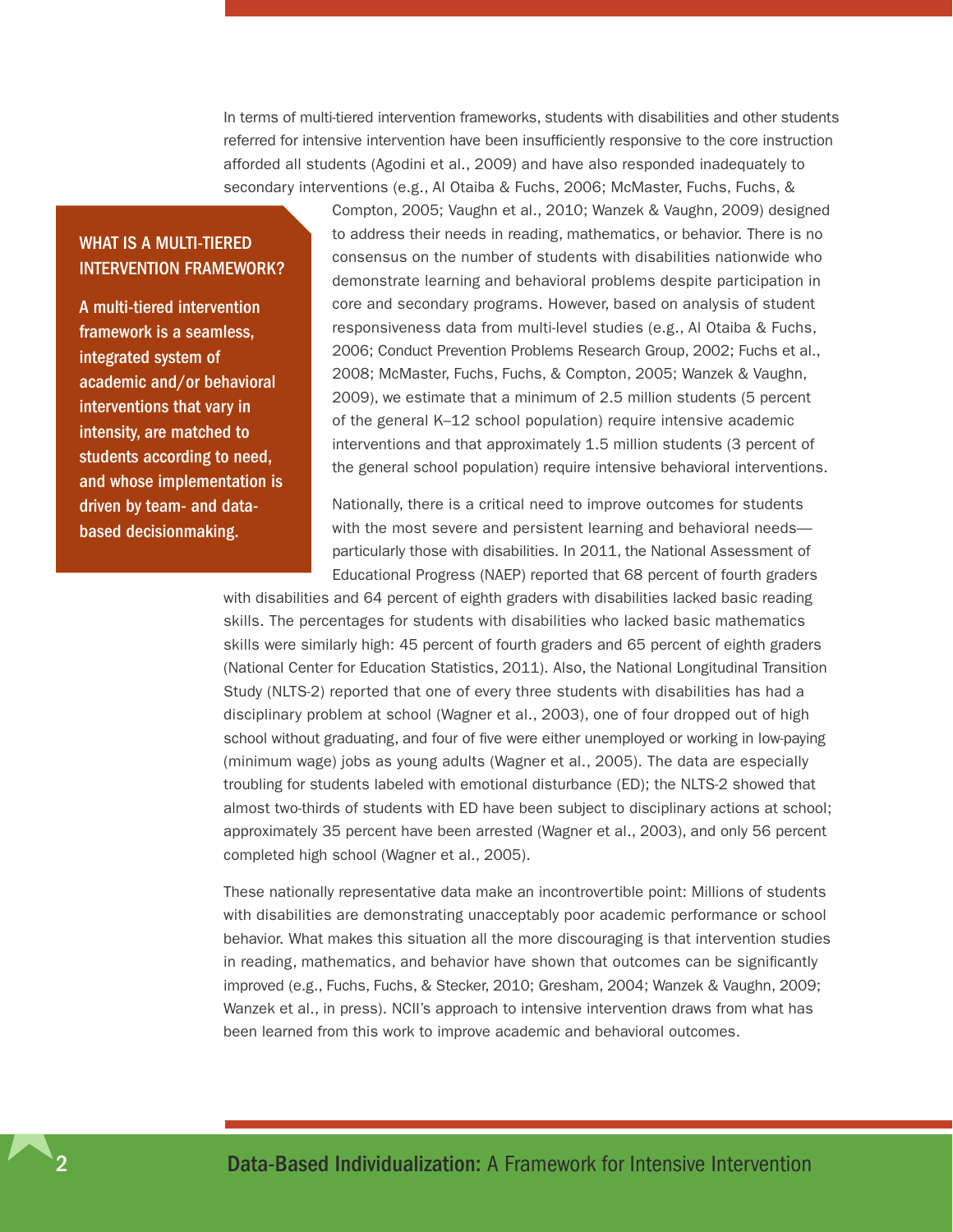In terms of multi-tiered intervention frameworks, students with disabilities and other students referred for intensive intervention have been insufficiently responsive to the core instruction afforded all students (Agodini et al., 2009) and have also responded inadequately to secondary interventions (e.g., Al Otaiba & Fuchs, 2006; McMaster, Fuchs, Fuchs, &

#### What is a Multi-Tiered Intervention Framework?

A multi-tiered intervention framework is a seamless, integrated system of academic and/or behavioral interventions that vary in intensity, are matched to students according to need, and whose implementation is driven by team- and databased decisionmaking.

Compton, 2005; Vaughn et al., 2010; Wanzek & Vaughn, 2009) designed to address their needs in reading, mathematics, or behavior. There is no consensus on the number of students with disabilities nationwide who demonstrate learning and behavioral problems despite participation in core and secondary programs. However, based on analysis of student responsiveness data from multi-level studies (e.g., Al Otaiba & Fuchs, 2006; Conduct Prevention Problems Research Group, 2002; Fuchs et al., 2008; McMaster, Fuchs, Fuchs, & Compton, 2005; Wanzek & Vaughn, 2009), we estimate that a minimum of 2.5 million students (5 percent of the general K–12 school population) require intensive academic interventions and that approximately 1.5 million students (3 percent of the general school population) require intensive behavioral interventions.

Nationally, there is a critical need to improve outcomes for students with the most severe and persistent learning and behavioral needs particularly those with disabilities. In 2011, the National Assessment of Educational Progress (NAEP) reported that 68 percent of fourth graders

with disabilities and 64 percent of eighth graders with disabilities lacked basic reading skills. The percentages for students with disabilities who lacked basic mathematics skills were similarly high: 45 percent of fourth graders and 65 percent of eighth graders (National Center for Education Statistics, 2011). Also, the National Longitudinal Transition Study (NLTS-2) reported that one of every three students with disabilities has had a disciplinary problem at school (Wagner et al., 2003), one of four dropped out of high school without graduating, and four of five were either unemployed or working in low-paying (minimum wage) jobs as young adults (Wagner et al., 2005). The data are especially troubling for students labeled with emotional disturbance (ED); the NLTS-2 showed that almost two-thirds of students with ED have been subject to disciplinary actions at school; approximately 35 percent have been arrested (Wagner et al., 2003), and only 56 percent completed high school (Wagner et al., 2005).

These nationally representative data make an incontrovertible point: Millions of students with disabilities are demonstrating unacceptably poor academic performance or school behavior. What makes this situation all the more discouraging is that intervention studies in reading, mathematics, and behavior have shown that outcomes can be significantly improved (e.g., Fuchs, Fuchs, & Stecker, 2010; Gresham, 2004; Wanzek & Vaughn, 2009; Wanzek et al., in press). NCII's approach to intensive intervention draws from what has been learned from this work to improve academic and behavioral outcomes.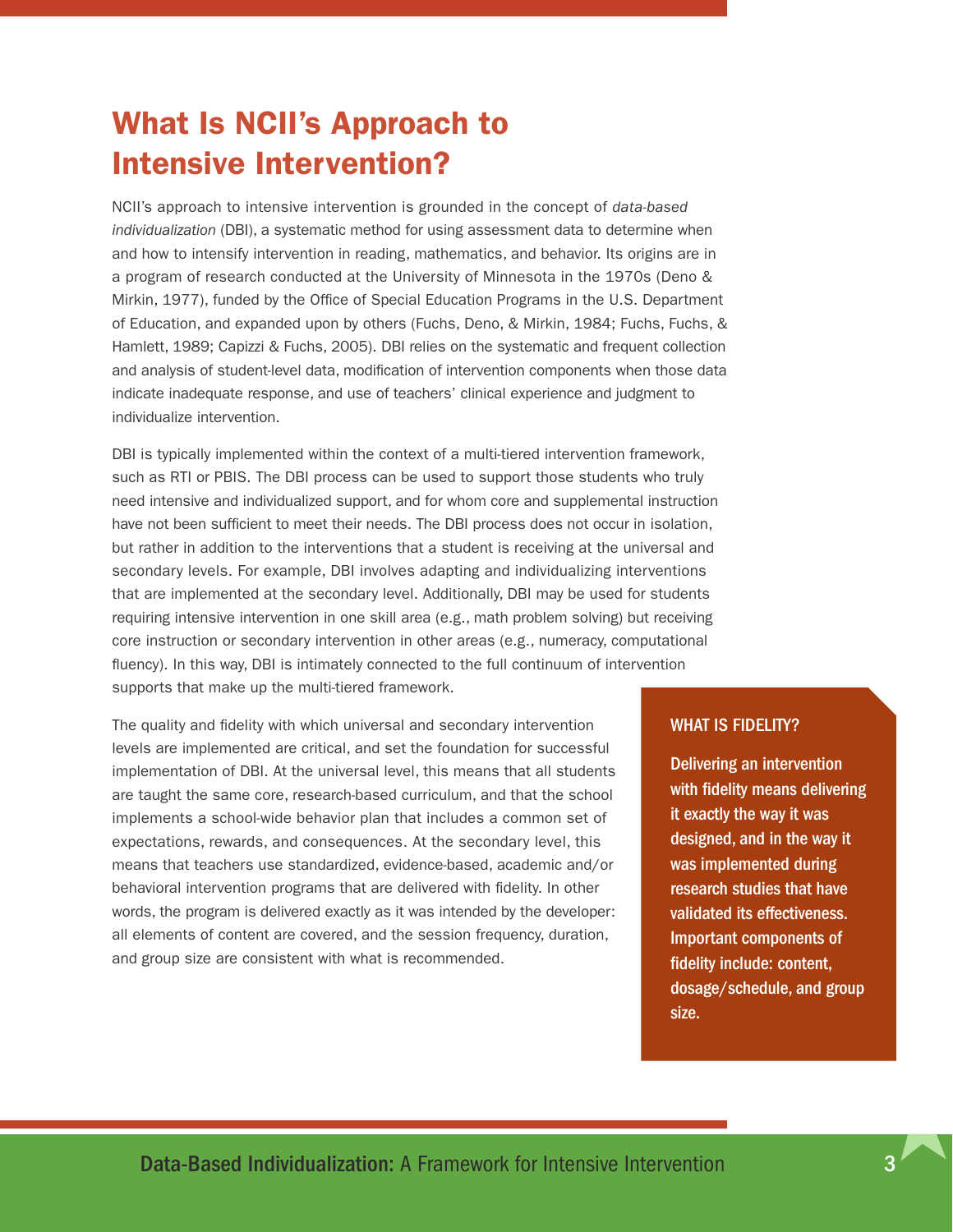# <span id="page-6-0"></span>What Is NCII's Approach to Intensive Intervention?

NCII's approach to intensive intervention is grounded in the concept of *data-based individualization* (DBI), a systematic method for using assessment data to determine when and how to intensify intervention in reading, mathematics, and behavior. Its origins are in a program of research conducted at the University of Minnesota in the 1970s (Deno & Mirkin, 1977), funded by the Office of Special Education Programs in the U.S. Department of Education, and expanded upon by others (Fuchs, Deno, & Mirkin, 1984; Fuchs, Fuchs, & Hamlett, 1989; Capizzi & Fuchs, 2005). DBI relies on the systematic and frequent collection and analysis of student-level data, modification of intervention components when those data indicate inadequate response, and use of teachers' clinical experience and judgment to individualize intervention.

DBI is typically implemented within the context of a multi-tiered intervention framework, such as RTI or PBIS. The DBI process can be used to support those students who truly need intensive and individualized support, and for whom core and supplemental instruction have not been sufficient to meet their needs. The DBI process does not occur in isolation, but rather in addition to the interventions that a student is receiving at the universal and secondary levels. For example, DBI involves adapting and individualizing interventions that are implemented at the secondary level. Additionally, DBI may be used for students requiring intensive intervention in one skill area (e.g., math problem solving) but receiving core instruction or secondary intervention in other areas (e.g., numeracy, computational fluency). In this way, DBI is intimately connected to the full continuum of intervention supports that make up the multi-tiered framework.

The quality and fidelity with which universal and secondary intervention levels are implemented are critical, and set the foundation for successful implementation of DBI. At the universal level, this means that all students are taught the same core, research-based curriculum, and that the school implements a school-wide behavior plan that includes a common set of expectations, rewards, and consequences. At the secondary level, this means that teachers use standardized, evidence-based, academic and/or behavioral intervention programs that are delivered with fidelity. In other words, the program is delivered exactly as it was intended by the developer: all elements of content are covered, and the session frequency, duration, and group size are consistent with what is recommended.

#### WHAT IS FIDELITY?

Delivering an intervention with fidelity means delivering it exactly the way it was designed, and in the way it was implemented during research studies that have validated its effectiveness. Important components of fidelity include: content, dosage/schedule, and group size.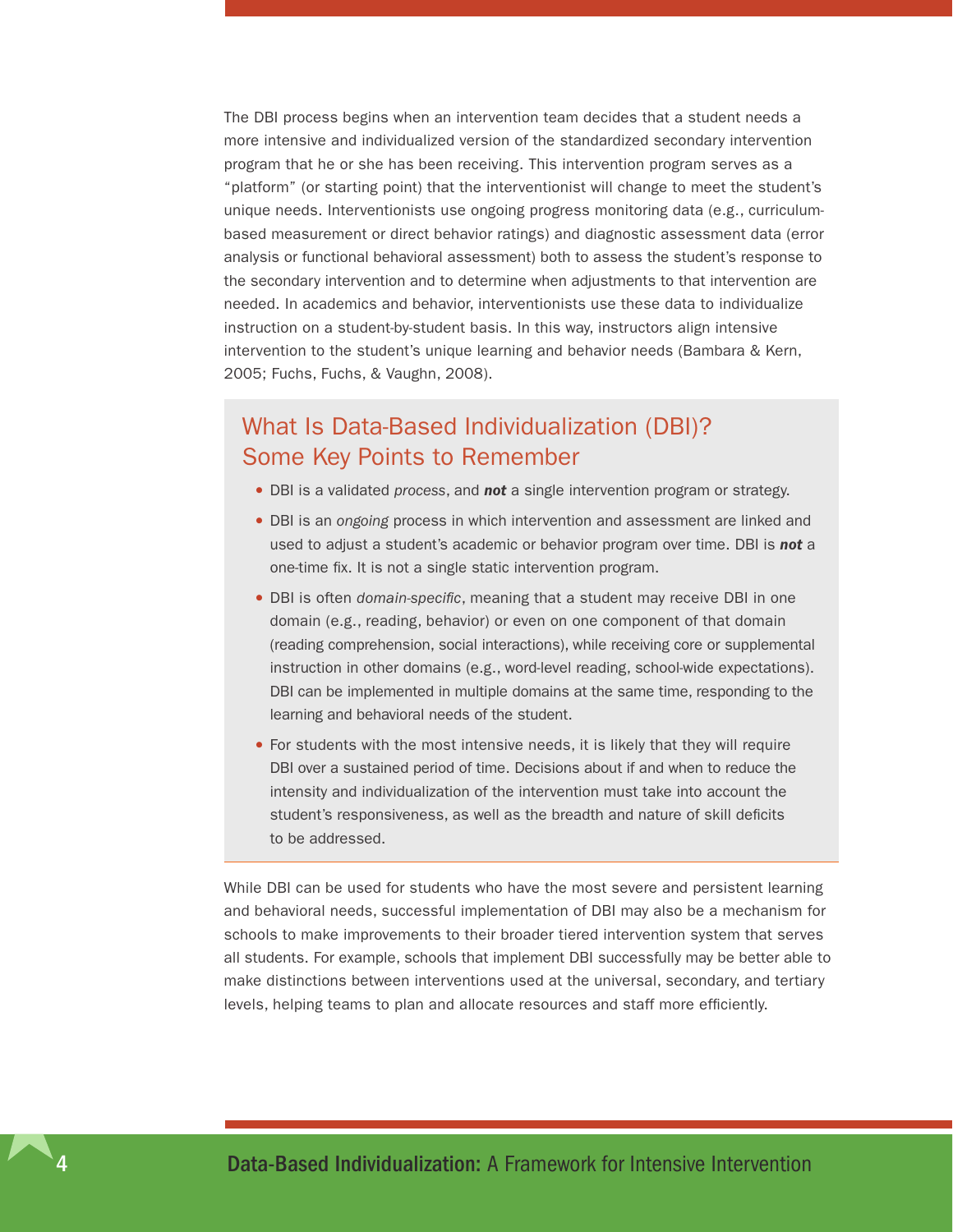<span id="page-7-0"></span>The DBI process begins when an intervention team decides that a student needs a more intensive and individualized version of the standardized secondary intervention program that he or she has been receiving. This intervention program serves as a "platform" (or starting point) that the interventionist will change to meet the student's unique needs. Interventionists use ongoing progress monitoring data (e.g., curriculumbased measurement or direct behavior ratings) and diagnostic assessment data (error analysis or functional behavioral assessment) both to assess the student's response to the secondary intervention and to determine when adjustments to that intervention are needed. In academics and behavior, interventionists use these data to individualize instruction on a student-by-student basis. In this way, instructors align intensive intervention to the student's unique learning and behavior needs (Bambara & Kern, 2005; Fuchs, Fuchs, & Vaughn, 2008).

### What Is Data-Based Individualization (DBI)? Some Key Points to Remember

- •DBI is a validated *process*, and *not* a single intervention program or strategy.
- •DBI is an *ongoing* process in which intervention and assessment are linked and used to adjust a student's academic or behavior program over time. DBI is *not* a one-time fix. It is not a single static intervention program.
- •DBI is often *domain-specific*, meaning that a student may receive DBI in one domain (e.g., reading, behavior) or even on one component of that domain (reading comprehension, social interactions), while receiving core or supplemental instruction in other domains (e.g., word-level reading, school-wide expectations). DBI can be implemented in multiple domains at the same time, responding to the learning and behavioral needs of the student.
- •For students with the most intensive needs, it is likely that they will require DBI over a sustained period of time. Decisions about if and when to reduce the intensity and individualization of the intervention must take into account the student's responsiveness, as well as the breadth and nature of skill deficits to be addressed.

While DBI can be used for students who have the most severe and persistent learning and behavioral needs, successful implementation of DBI may also be a mechanism for schools to make improvements to their broader tiered intervention system that serves all students. For example, schools that implement DBI successfully may be better able to make distinctions between interventions used at the universal, secondary, and tertiary levels, helping teams to plan and allocate resources and staff more efficiently.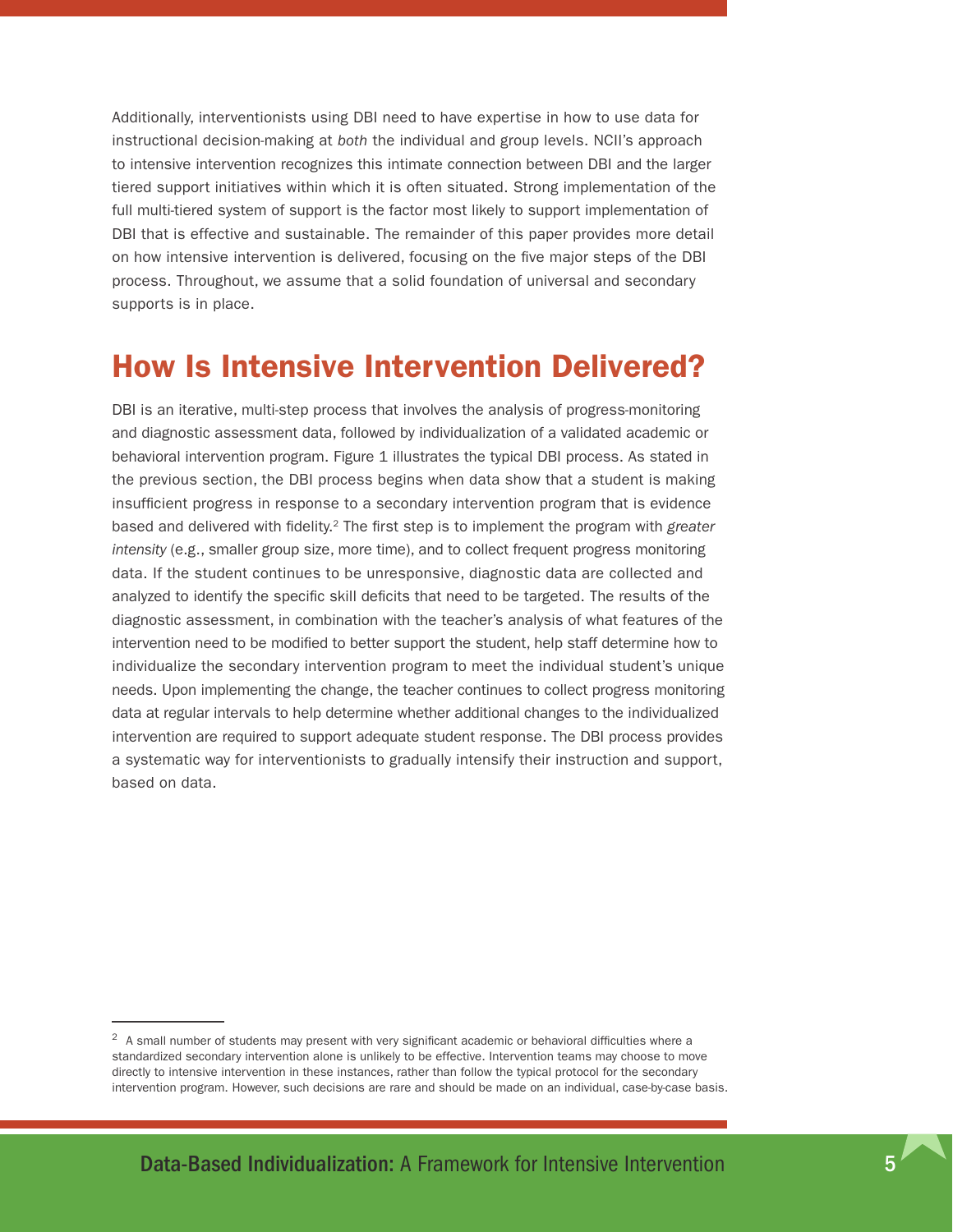<span id="page-8-0"></span>Additionally, interventionists using DBI need to have expertise in how to use data for instructional decision-making at *both* the individual and group levels. NCII's approach to intensive intervention recognizes this intimate connection between DBI and the larger tiered support initiatives within which it is often situated. Strong implementation of the full multi-tiered system of support is the factor most likely to support implementation of DBI that is effective and sustainable. The remainder of this paper provides more detail on how intensive intervention is delivered, focusing on the five major steps of the DBI process. Throughout, we assume that a solid foundation of universal and secondary supports is in place.

## How Is Intensive Intervention Delivered?

DBI is an iterative, multi-step process that involves the analysis of progress-monitoring and diagnostic assessment data, followed by individualization of a validated academic or behavioral intervention program. Figure 1 illustrates the typical DBI process. As stated in the previous section, the DBI process begins when data show that a student is making insufficient progress in response to a secondary intervention program that is evidence based and delivered with fidelity.2 The first step is to implement the program with *greater intensity* (e.g., smaller group size, more time), and to collect frequent progress monitoring data. If the student continues to be unresponsive, diagnostic data are collected and analyzed to identify the specific skill deficits that need to be targeted. The results of the diagnostic assessment, in combination with the teacher's analysis of what features of the intervention need to be modified to better support the student, help staff determine how to individualize the secondary intervention program to meet the individual student's unique needs. Upon implementing the change, the teacher continues to collect progress monitoring data at regular intervals to help determine whether additional changes to the individualized intervention are required to support adequate student response. The DBI process provides a systematic way for interventionists to gradually intensify their instruction and support, based on data.

<sup>&</sup>lt;sup>2</sup> A small number of students may present with very significant academic or behavioral difficulties where a standardized secondary intervention alone is unlikely to be effective. Intervention teams may choose to move directly to intensive intervention in these instances, rather than follow the typical protocol for the secondary intervention program. However, such decisions are rare and should be made on an individual, case-by-case basis.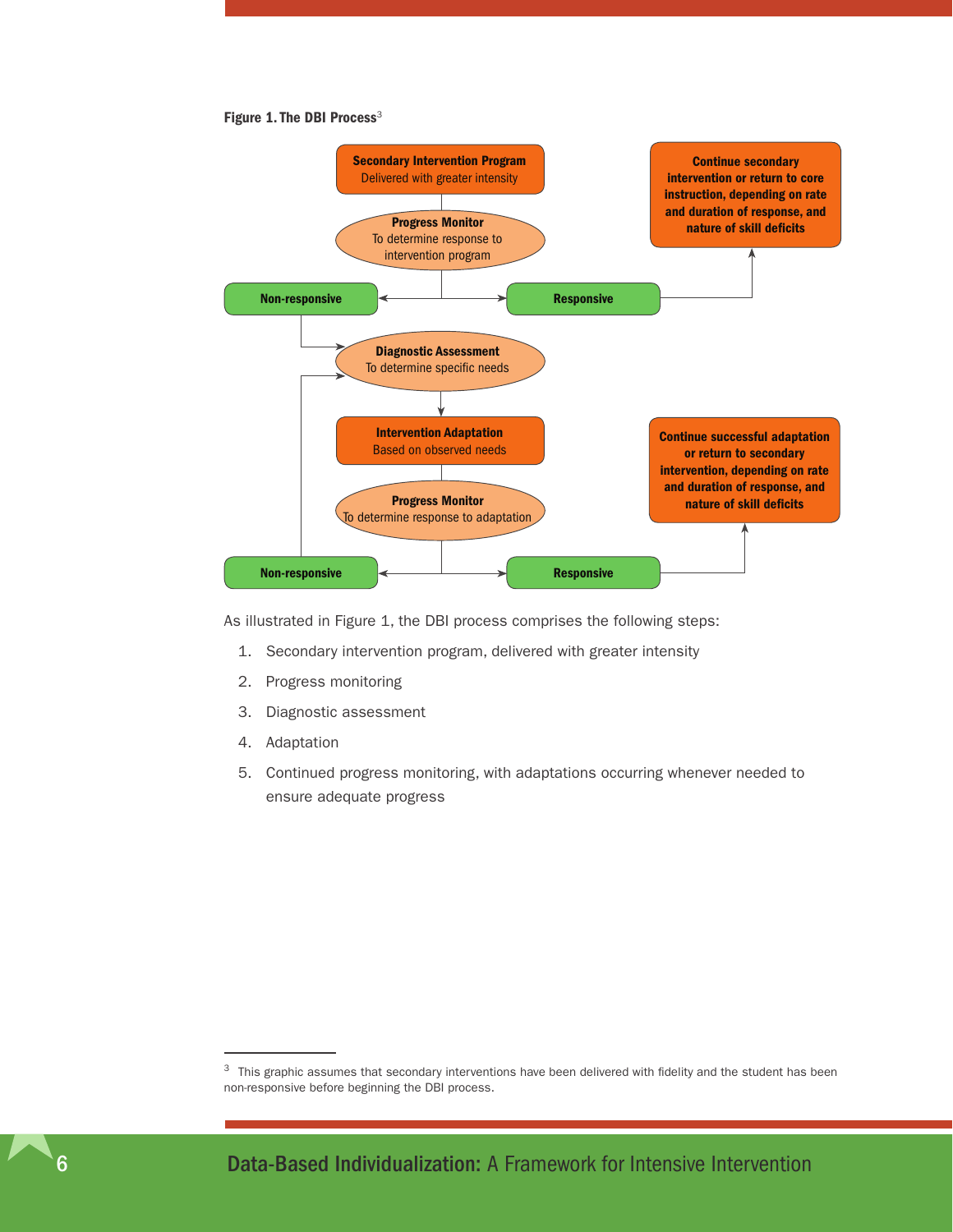#### Figure 1. The DBI Process<sup>3</sup>



As illustrated in Figure 1, the DBI process comprises the following steps:

- 1. Secondary intervention program, delivered with greater intensity
- 2. Progress monitoring
- 3. Diagnostic assessment
- 4. Adaptation
- 5. Continued progress monitoring, with adaptations occurring whenever needed to ensure adequate progress

<sup>&</sup>lt;sup>3</sup> This graphic assumes that secondary interventions have been delivered with fidelity and the student has been non-responsive before beginning the DBI process.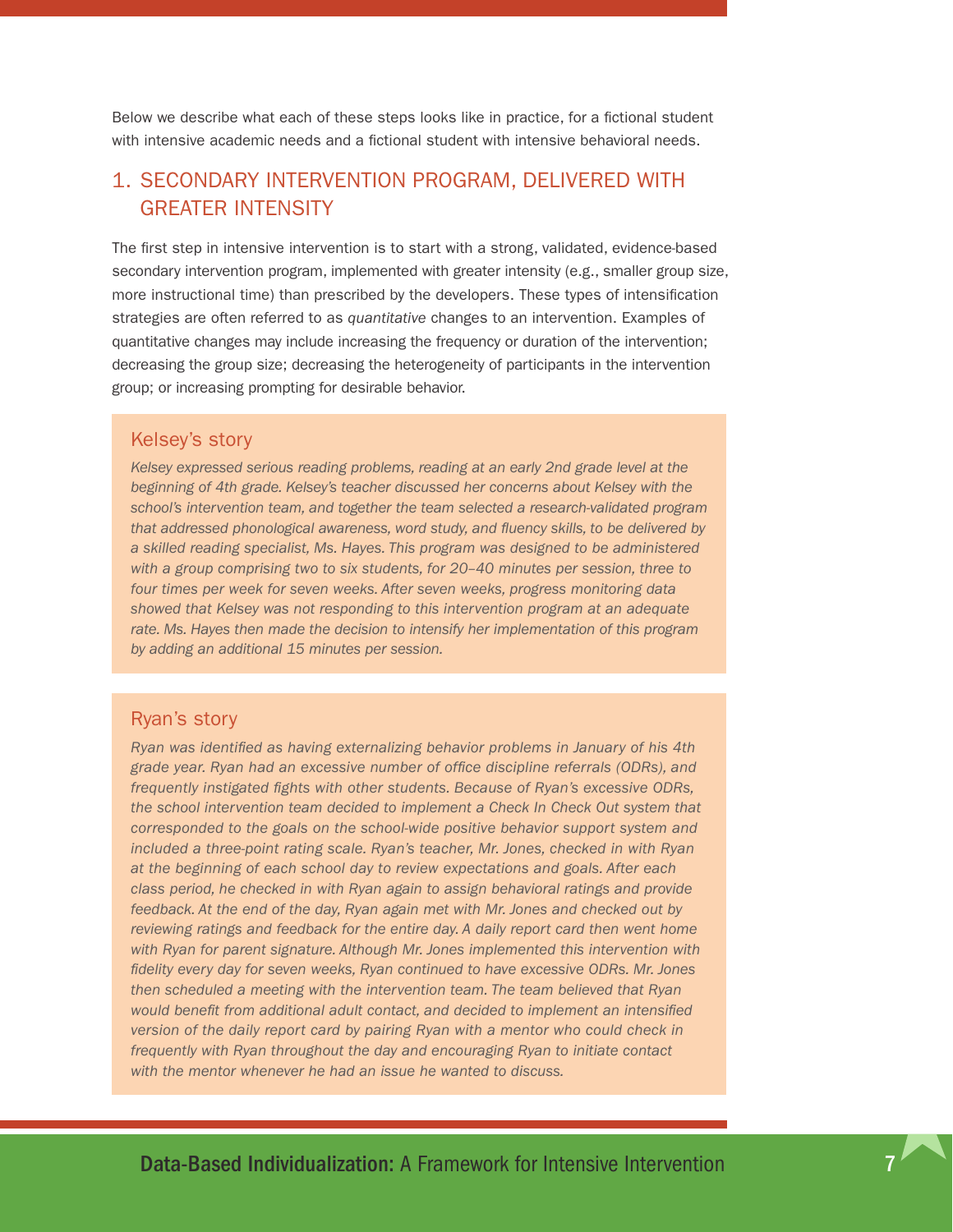<span id="page-10-0"></span>Below we describe what each of these steps looks like in practice, for a fictional student with intensive academic needs and a fictional student with intensive behavioral needs.

### 1. Secondary intervention program, delivered with greater intensity

The first step in intensive intervention is to start with a strong, validated, evidence-based secondary intervention program, implemented with greater intensity (e.g., smaller group size, more instructional time) than prescribed by the developers. These types of intensification strategies are often referred to as *quantitative* changes to an intervention. Examples of quantitative changes may include increasing the frequency or duration of the intervention; decreasing the group size; decreasing the heterogeneity of participants in the intervention group; or increasing prompting for desirable behavior.

#### Kelsey's story

*Kelsey expressed serious reading problems, reading at an early 2nd grade level at the beginning of 4th grade. Kelsey's teacher discussed her concerns about Kelsey with the school's intervention team, and together the team selected a research-validated program that addressed phonological awareness, word study, and fluency skills, to be delivered by a skilled reading specialist, Ms. Hayes. This program was designed to be administered with a group comprising two to six students, for 20–40 minutes per session, three to four times per week for seven weeks. After seven weeks, progress monitoring data showed that Kelsey was not responding to this intervention program at an adequate rate. Ms. Hayes then made the decision to intensify her implementation of this program by adding an additional 15 minutes per session.* 

#### Ryan's story

*Ryan was identified as having externalizing behavior problems in January of his 4th grade year. Ryan had an excessive number of office discipline referrals (ODRs), and frequently instigated fights with other students. Because of Ryan's excessive ODRs, the school intervention team decided to implement a Check In Check Out system that corresponded to the goals on the school-wide positive behavior support system and included a three-point rating scale. Ryan's teacher, Mr. Jones, checked in with Ryan at the beginning of each school day to review expectations and goals. After each class period, he checked in with Ryan again to assign behavioral ratings and provide feedback. At the end of the day, Ryan again met with Mr. Jones and checked out by reviewing ratings and feedback for the entire day. A daily report card then went home with Ryan for parent signature. Although Mr. Jones implemented this intervention with fidelity every day for seven weeks, Ryan continued to have excessive ODRs. Mr. Jones then scheduled a meeting with the intervention team. The team believed that Ryan would benefit from additional adult contact, and decided to implement an intensified version of the daily report card by pairing Ryan with a mentor who could check in frequently with Ryan throughout the day and encouraging Ryan to initiate contact with the mentor whenever he had an issue he wanted to discuss.*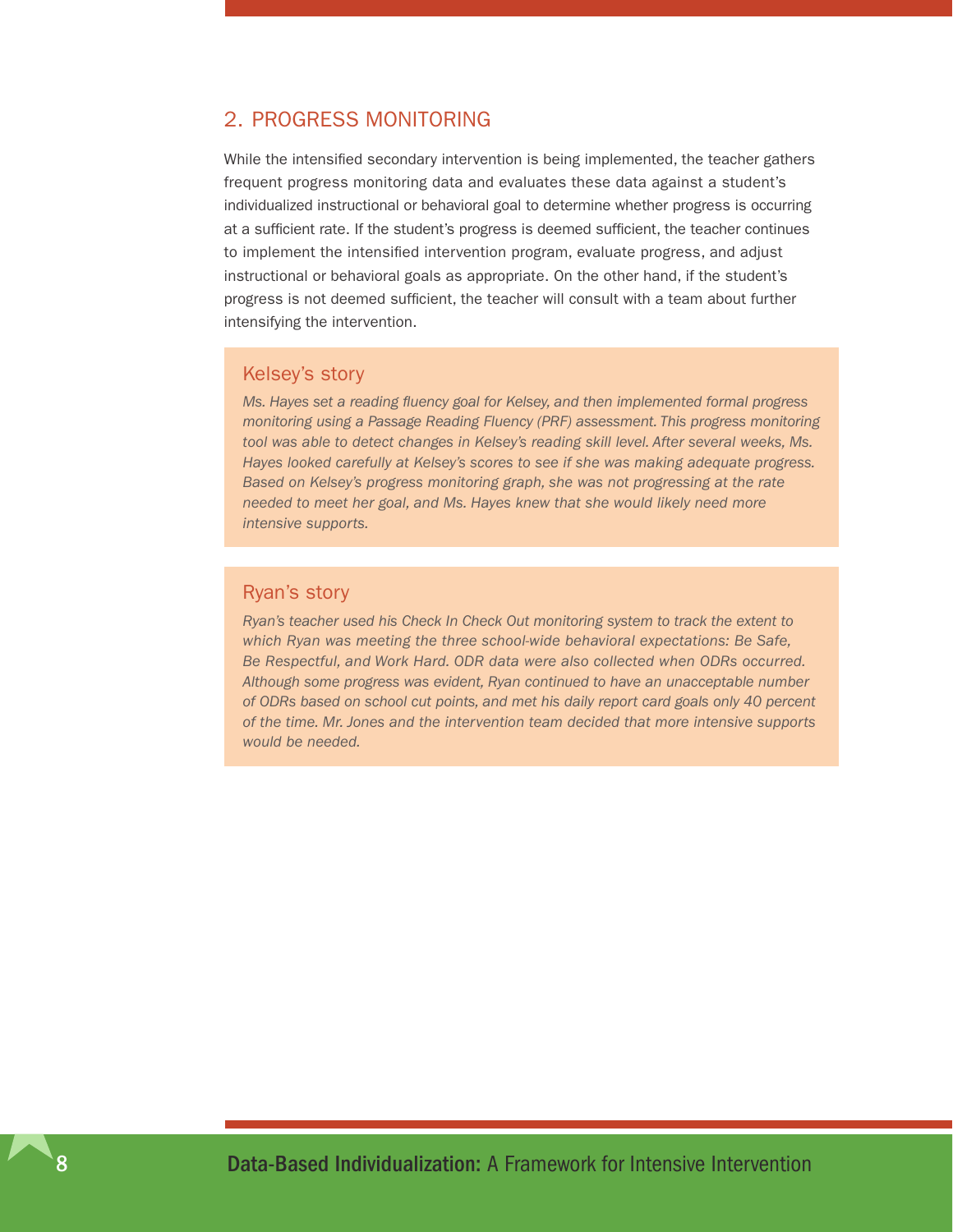#### <span id="page-11-0"></span>2. Progress monitoring

While the intensified secondary intervention is being implemented, the teacher gathers frequent progress monitoring data and evaluates these data against a student's individualized instructional or behavioral goal to determine whether progress is occurring at a sufficient rate. If the student's progress is deemed sufficient, the teacher continues to implement the intensified intervention program, evaluate progress, and adjust instructional or behavioral goals as appropriate. On the other hand, if the student's progress is not deemed sufficient, the teacher will consult with a team about further intensifying the intervention.

#### Kelsey's story

*Ms. Hayes set a reading fluency goal for Kelsey, and then implemented formal progress monitoring using a Passage Reading Fluency (PRF) assessment. This progress monitoring tool was able to detect changes in Kelsey's reading skill level. After several weeks, Ms. Hayes looked carefully at Kelsey's scores to see if she was making adequate progress. Based on Kelsey's progress monitoring graph, she was not progressing at the rate needed to meet her goal, and Ms. Hayes knew that she would likely need more intensive supports.* 

#### Ryan's story

*Ryan's teacher used his Check In Check Out monitoring system to track the extent to which Ryan was meeting the three school-wide behavioral expectations: Be Safe, Be Respectful, and Work Hard. ODR data were also collected when ODRs occurred. Although some progress was evident, Ryan continued to have an unacceptable number of ODRs based on school cut points, and met his daily report card goals only 40 percent of the time. Mr. Jones and the intervention team decided that more intensive supports would be needed.*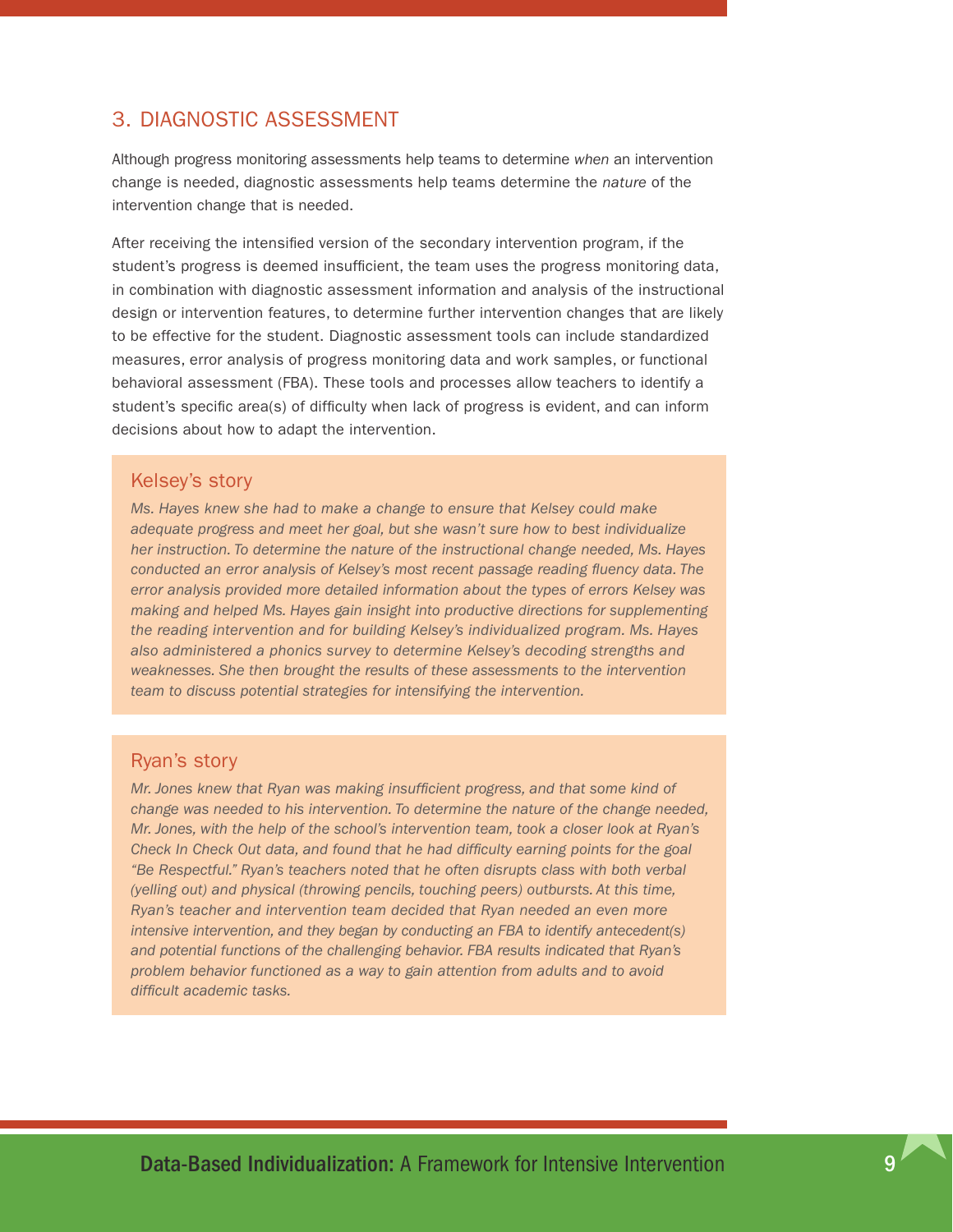#### <span id="page-12-0"></span>3. Diagnostic assessment

Although progress monitoring assessments help teams to determine *when* an intervention change is needed, diagnostic assessments help teams determine the *nature* of the intervention change that is needed.

After receiving the intensified version of the secondary intervention program, if the student's progress is deemed insufficient, the team uses the progress monitoring data, in combination with diagnostic assessment information and analysis of the instructional design or intervention features, to determine further intervention changes that are likely to be effective for the student. Diagnostic assessment tools can include standardized measures, error analysis of progress monitoring data and work samples, or functional behavioral assessment (FBA). These tools and processes allow teachers to identify a student's specific area(s) of difficulty when lack of progress is evident, and can inform decisions about how to adapt the intervention.

#### Kelsey's story

*Ms. Hayes knew she had to make a change to ensure that Kelsey could make adequate progress and meet her goal, but she wasn't sure how to best individualize her instruction. To determine the nature of the instructional change needed, Ms. Hayes conducted an error analysis of Kelsey's most recent passage reading fluency data. The error analysis provided more detailed information about the types of errors Kelsey was making and helped Ms. Hayes gain insight into productive directions for supplementing the reading intervention and for building Kelsey's individualized program. Ms. Hayes also administered a phonics survey to determine Kelsey's decoding strengths and weaknesses. She then brought the results of these assessments to the intervention team to discuss potential strategies for intensifying the intervention.*

#### Ryan's story

*Mr. Jones knew that Ryan was making insufficient progress, and that some kind of change was needed to his intervention. To determine the nature of the change needed, Mr. Jones, with the help of the school's intervention team, took a closer look at Ryan's Check In Check Out data, and found that he had difficulty earning points for the goal "Be Respectful." Ryan's teachers noted that he often disrupts class with both verbal (yelling out) and physical (throwing pencils, touching peers) outbursts. At this time, Ryan's teacher and intervention team decided that Ryan needed an even more intensive intervention, and they began by conducting an FBA to identify antecedent(s) and potential functions of the challenging behavior. FBA results indicated that Ryan's problem behavior functioned as a way to gain attention from adults and to avoid difficult academic tasks.*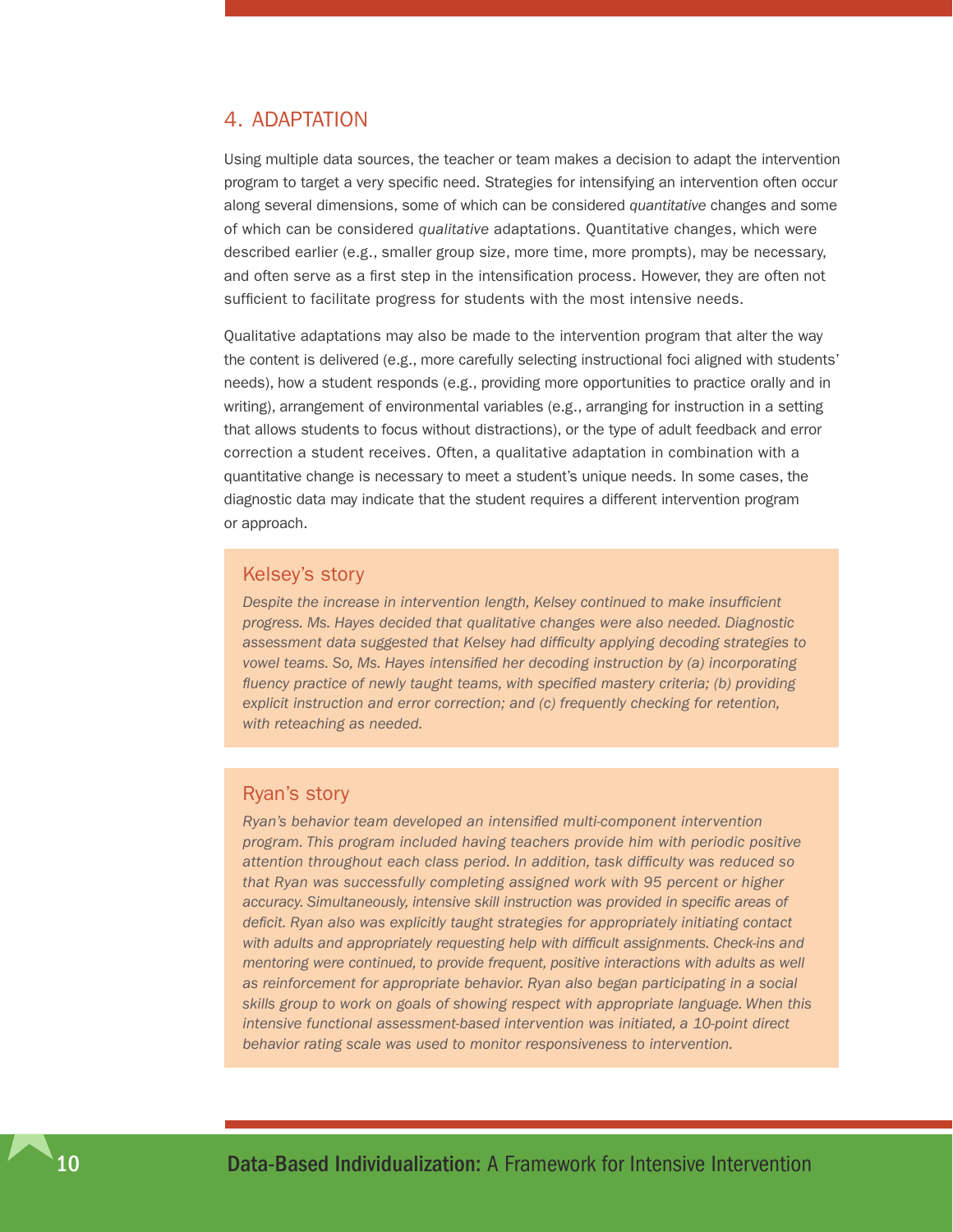#### <span id="page-13-0"></span>4. Adaptation

Using multiple data sources, the teacher or team makes a decision to adapt the intervention program to target a very specific need. Strategies for intensifying an intervention often occur along several dimensions, some of which can be considered *quantitative* changes and some of which can be considered *qualitative* adaptations. Quantitative changes, which were described earlier (e.g., smaller group size, more time, more prompts), may be necessary, and often serve as a first step in the intensification process. However, they are often not sufficient to facilitate progress for students with the most intensive needs.

Qualitative adaptations may also be made to the intervention program that alter the way the content is delivered (e.g., more carefully selecting instructional foci aligned with students' needs), how a student responds (e.g., providing more opportunities to practice orally and in writing), arrangement of environmental variables (e.g., arranging for instruction in a setting that allows students to focus without distractions), or the type of adult feedback and error correction a student receives. Often, a qualitative adaptation in combination with a quantitative change is necessary to meet a student's unique needs. In some cases, the diagnostic data may indicate that the student requires a different intervention program or approach.

#### Kelsey's story

*Despite the increase in intervention length, Kelsey continued to make insufficient progress. Ms. Hayes decided that qualitative changes were also needed. Diagnostic assessment data suggested that Kelsey had difficulty applying decoding strategies to vowel teams. So, Ms. Hayes intensified her decoding instruction by (a) incorporating fluency practice of newly taught teams, with specified mastery criteria; (b) providing explicit instruction and error correction; and (c) frequently checking for retention, with reteaching as needed.*

#### Ryan's story

*Ryan's behavior team developed an intensified multi-component intervention program. This program included having teachers provide him with periodic positive attention throughout each class period. In addition, task difficulty was reduced so that Ryan was successfully completing assigned work with 95 percent or higher accuracy. Simultaneously, intensive skill instruction was provided in specific areas of deficit. Ryan also was explicitly taught strategies for appropriately initiating contact with adults and appropriately requesting help with difficult assignments. Check-ins and mentoring were continued, to provide frequent, positive interactions with adults as well as reinforcement for appropriate behavior. Ryan also began participating in a social skills group to work on goals of showing respect with appropriate language. When this intensive functional assessment-based intervention was initiated, a 10-point direct behavior rating scale was used to monitor responsiveness to intervention.*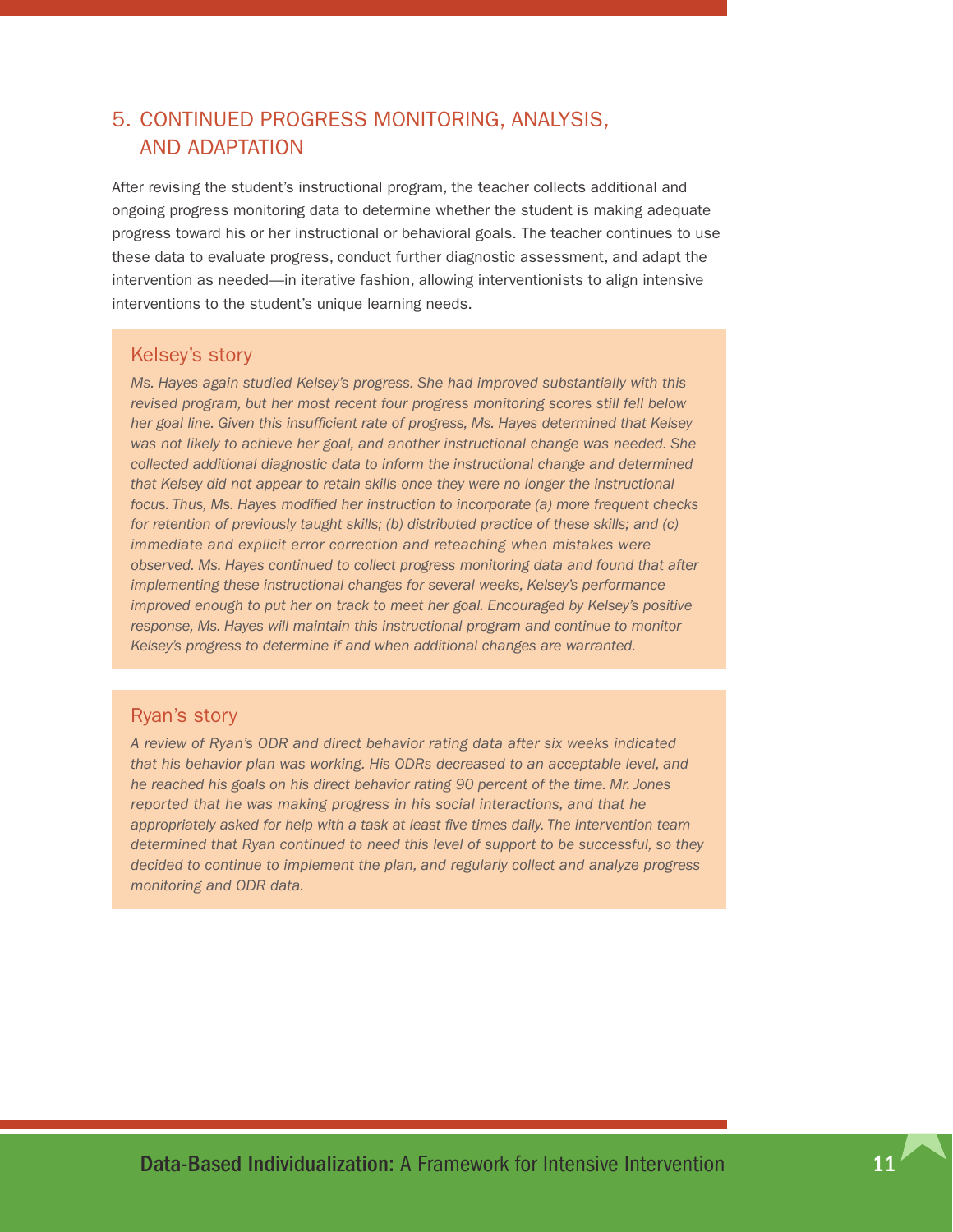### <span id="page-14-0"></span>5. Continued progress monitoring, analysis, and adaptation

After revising the student's instructional program, the teacher collects additional and ongoing progress monitoring data to determine whether the student is making adequate progress toward his or her instructional or behavioral goals. The teacher continues to use these data to evaluate progress, conduct further diagnostic assessment, and adapt the intervention as needed—in iterative fashion, allowing interventionists to align intensive interventions to the student's unique learning needs.

#### Kelsey's story

*Ms. Hayes again studied Kelsey's progress. She had improved substantially with this revised program, but her most recent four progress monitoring scores still fell below her goal line. Given this insufficient rate of progress, Ms. Hayes determined that Kelsey was not likely to achieve her goal, and another instructional change was needed. She collected additional diagnostic data to inform the instructional change and determined that Kelsey did not appear to retain skills once they were no longer the instructional focus. Thus, Ms. Hayes modified her instruction to incorporate (a) more frequent checks for retention of previously taught skills; (b) distributed practice of these skills; and (c) immediate and explicit error correction and reteaching when mistakes were observed. Ms. Hayes continued to collect progress monitoring data and found that after implementing these instructional changes for several weeks, Kelsey's performance improved enough to put her on track to meet her goal. Encouraged by Kelsey's positive response, Ms. Hayes will maintain this instructional program and continue to monitor Kelsey's progress to determine if and when additional changes are warranted.* 

#### Ryan's story

*A review of Ryan's ODR and direct behavior rating data after six weeks indicated that his behavior plan was working. His ODRs decreased to an acceptable level, and he reached his goals on his direct behavior rating 90 percent of the time. Mr. Jones reported that he was making progress in his social interactions, and that he appropriately asked for help with a task at least five times daily. The intervention team determined that Ryan continued to need this level of support to be successful, so they decided to continue to implement the plan, and regularly collect and analyze progress monitoring and ODR data.*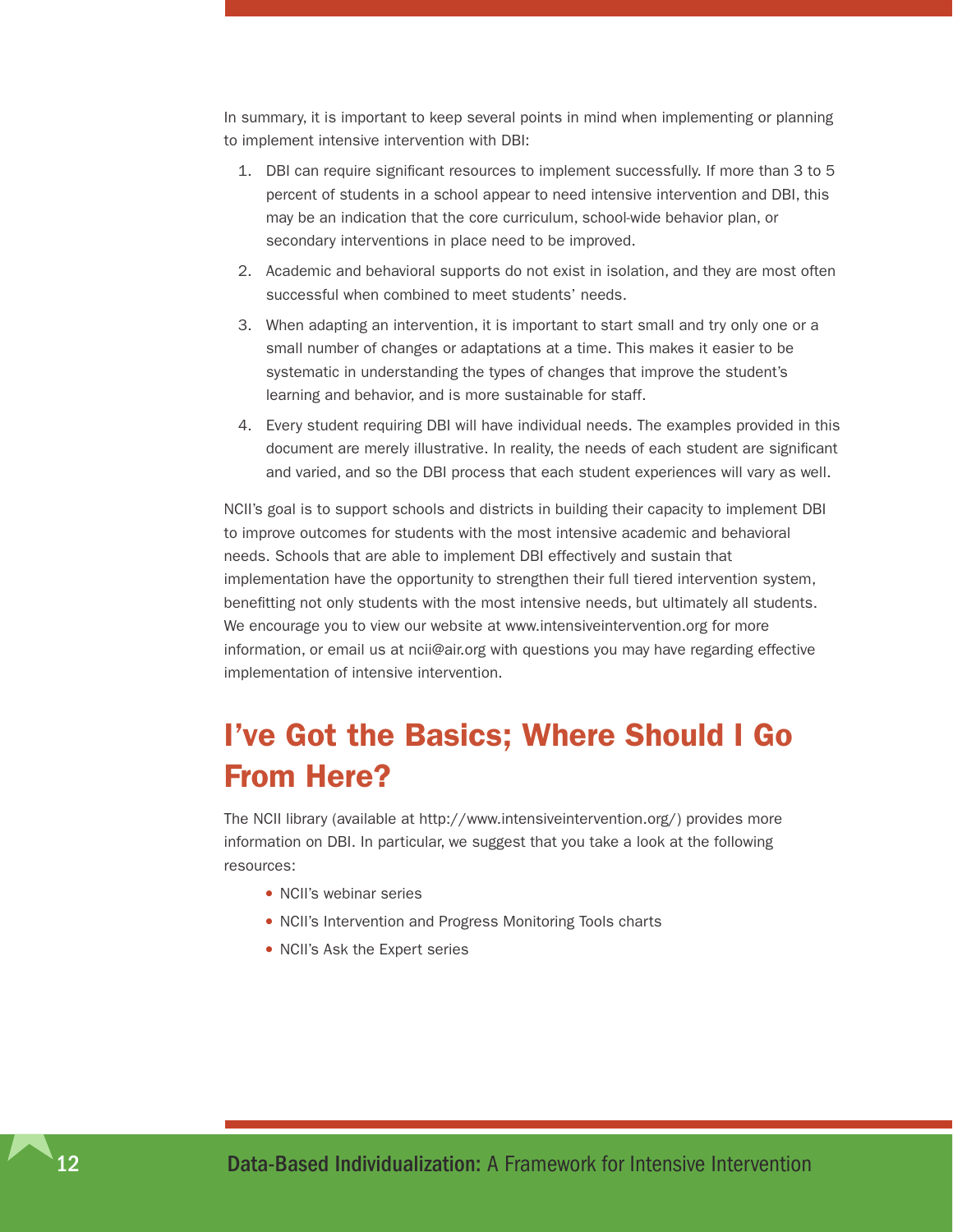<span id="page-15-0"></span>In summary, it is important to keep several points in mind when implementing or planning to implement intensive intervention with DBI:

- 1. DBI can require significant resources to implement successfully. If more than 3 to 5 percent of students in a school appear to need intensive intervention and DBI, this may be an indication that the core curriculum, school-wide behavior plan, or secondary interventions in place need to be improved.
- 2. Academic and behavioral supports do not exist in isolation, and they are most often successful when combined to meet students' needs.
- 3. When adapting an intervention, it is important to start small and try only one or a small number of changes or adaptations at a time. This makes it easier to be systematic in understanding the types of changes that improve the student's learning and behavior, and is more sustainable for staff.
- 4. Every student requiring DBI will have individual needs. The examples provided in this document are merely illustrative. In reality, the needs of each student are significant and varied, and so the DBI process that each student experiences will vary as well.

NCII's goal is to support schools and districts in building their capacity to implement DBI to improve outcomes for students with the most intensive academic and behavioral needs. Schools that are able to implement DBI effectively and sustain that implementation have the opportunity to strengthen their full tiered intervention system, benefitting not only students with the most intensive needs, but ultimately all students. We encourage you to view our website at [www.intensiveintervention.org](http://www.intensiveintervention.org) for more information, or email us at [ncii@air.org](mailto:ncii@air.org) with questions you may have regarding effective implementation of intensive intervention.

# I've Got the Basics; Where Should I Go From Here?

The NCII library (available at [http://www.intensiveintervention.org/\)](http://www.intensiveintervention.org) provides more information on DBI. In particular, we suggest that you take a look at the following resources:

- NCII's webinar series
- NCII's Intervention and Progress Monitoring Tools charts
- NCII's Ask the Expert series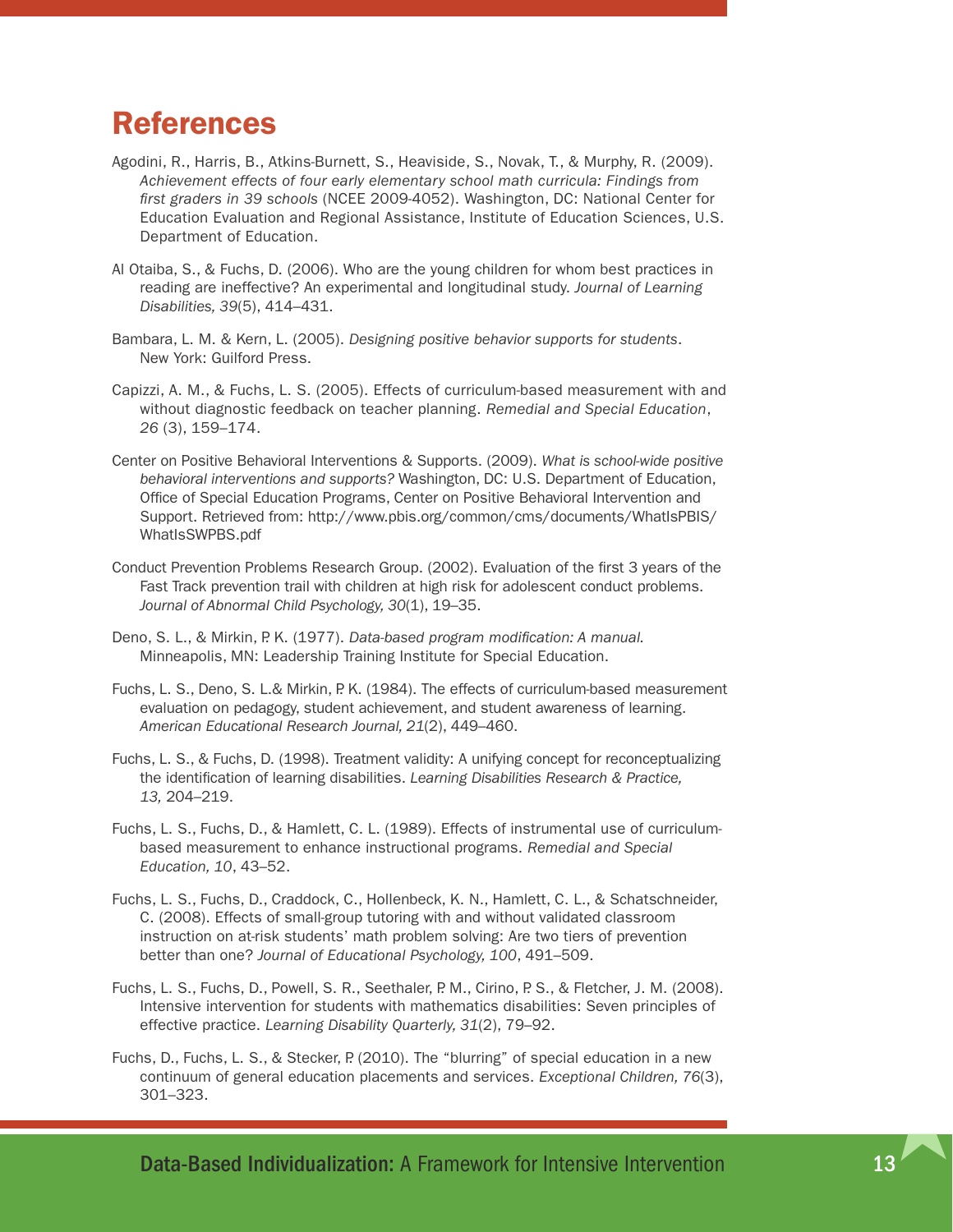## <span id="page-16-0"></span>References

- Agodini, R., Harris, B., Atkins-Burnett, S., Heaviside, S., Novak, T., & Murphy, R. (2009). *Achievement effects of four early elementary school math curricula: Findings from first graders in 39 schools* (NCEE 2009-4052). Washington, DC: National Center for Education Evaluation and Regional Assistance, Institute of Education Sciences, U.S. Department of Education.
- Al Otaiba, S., & Fuchs, D. (2006). Who are the young children for whom best practices in reading are ineffective? An experimental and longitudinal study. *Journal of Learning Disabilities, 39*(5), 414–431.
- Bambara, L. M. & Kern, L. (2005). *Designing positive behavior supports for students*. New York: Guilford Press.
- Capizzi, A. M., & Fuchs, L. S. (2005). Effects of curriculum-based measurement with and without diagnostic feedback on teacher planning. *Remedial and Special Education*, *26* (3), 159–174.
- Center on Positive Behavioral Interventions & Supports. (2009). *What is school-wide positive behavioral interventions and supports?* Washington, DC: U.S. Department of Education, Office of Special Education Programs, Center on Positive Behavioral Intervention and Support. Retrieved from: [http://www.pbis.org/common/cms/documents/WhatIsPBIS/](http://www.pbis.org/common/cms/documents/WhatIsPBIS/WhatIsSWPBS.pdf) [WhatIsSWPBS.pdf](http://www.pbis.org/common/cms/documents/WhatIsPBIS/WhatIsSWPBS.pdf)
- Conduct Prevention Problems Research Group. (2002). Evaluation of the first 3 years of the Fast Track prevention trail with children at high risk for adolescent conduct problems. *Journal of Abnormal Child Psychology, 30*(1), 19–35.
- Deno, S. L., & Mirkin, P. K. (1977). *Data-based program modification: A manual.* Minneapolis, MN: Leadership Training Institute for Special Education.
- Fuchs, L. S., Deno, S. L.& Mirkin, P. K. (1984). The effects of curriculum-based measurement evaluation on pedagogy, student achievement, and student awareness of learning. *American Educational Research Journal, 21*(2), 449–460.
- Fuchs, L. S., & Fuchs, D. (1998). Treatment validity: A unifying concept for reconceptualizing the identification of learning disabilities. *Learning Disabilities Research & Practice, 13,* 204–219.
- Fuchs, L. S., Fuchs, D., & Hamlett, C. L. (1989). Effects of instrumental use of curriculumbased measurement to enhance instructional programs. *Remedial and Special Education, 10*, 43–52.
- Fuchs, L. S., Fuchs, D., Craddock, C., Hollenbeck, K. N., Hamlett, C. L., & Schatschneider, C. (2008). Effects of small-group tutoring with and without validated classroom instruction on at-risk students' math problem solving: Are two tiers of prevention better than one? *Journal of Educational Psychology, 100*, 491–509.
- Fuchs, L. S., Fuchs, D., Powell, S. R., Seethaler, P. M., Cirino, P. S., & Fletcher, J. M. (2008). Intensive intervention for students with mathematics disabilities: Seven principles of effective practice. *Learning Disability Quarterly, 31*(2), 79–92.
- Fuchs, D., Fuchs, L. S., & Stecker, P. (2010). The "blurring" of special education in a new continuum of general education placements and services. *Exceptional Children, 76*(3), 301–323.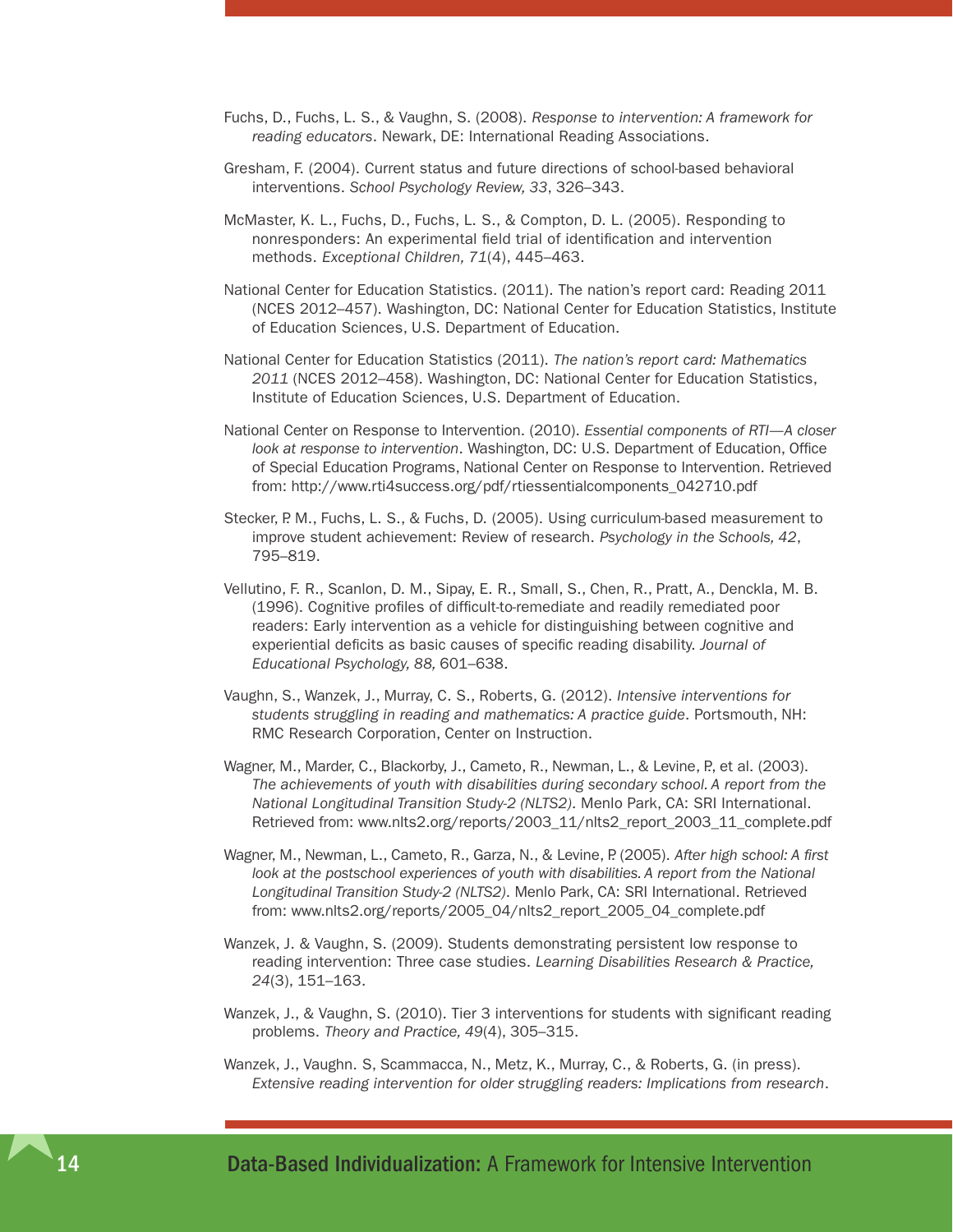- Fuchs, D., Fuchs, L. S., & Vaughn, S. (2008). *Response to intervention: A framework for reading educators*. Newark, DE: International Reading Associations.
- Gresham, F. (2004). Current status and future directions of school-based behavioral interventions. *School Psychology Review, 33*, 326–343.
- McMaster, K. L., Fuchs, D., Fuchs, L. S., & Compton, D. L. (2005). Responding to nonresponders: An experimental field trial of identification and intervention methods. *Exceptional Children, 71*(4), 445–463.
- National Center for Education Statistics. (2011). The nation's report card: Reading 2011 (NCES 2012–457). Washington, DC: National Center for Education Statistics, Institute of Education Sciences, U.S. Department of Education.
- National Center for Education Statistics (2011). *The nation's report card: Mathematics 2011* (NCES 2012–458). Washington, DC: National Center for Education Statistics, Institute of Education Sciences, U.S. Department of Education.
- National Center on Response to Intervention. (2010). *Essential components of RTI—A closer look at response to intervention*. Washington, DC: U.S. Department of Education, Office of Special Education Programs, National Center on Response to Intervention. Retrieved from: http://www.rti4success.org/pdf/rtiessentialcomponents\_042710.pdf
- Stecker, P. M., Fuchs, L. S., & Fuchs, D. (2005). Using curriculum-based measurement to improve student achievement: Review of research. *Psychology in the Schools, 42*, 795–819.
- Vellutino, F. R., Scanlon, D. M., Sipay, E. R., Small, S., Chen, R., Pratt, A., Denckla, M. B. (1996). Cognitive profiles of difficult-to-remediate and readily remediated poor readers: Early intervention as a vehicle for distinguishing between cognitive and experiential deficits as basic causes of specific reading disability. *Journal of Educational Psychology, 88,* 601–638.
- Vaughn, S., Wanzek, J., Murray, C. S., Roberts, G. (2012). *Intensive interventions for students struggling in reading and mathematics: A practice guide*. Portsmouth, NH: RMC Research Corporation, Center on Instruction.
- Wagner, M., Marder, C., Blackorby, J., Cameto, R., Newman, L., & Levine, P., et al. (2003). *The achievements of youth with disabilities during secondary school. A report from the National Longitudinal Transition Study-2 (NLTS2)*. Menlo Park, CA: SRI International. Retrieved from: [www.nlts2.org/reports/2003\\_11/nlts2\\_report\\_2003\\_11\\_complete.pdf](http://www.nlts2.org/reports/2003_11/nlts2_report_2003_11_complete.pdf)
- Wagner, M., Newman, L., Cameto, R., Garza, N., & Levine, P. (2005). *After high school: A first*  look at the postschool experiences of youth with disabilities. A report from the National *Longitudinal Transition Study-2 (NLTS2)*. Menlo Park, CA: SRI International. Retrieved from: [www.nlts2.org/reports/2005\\_04/nlts2\\_report\\_2005\\_04\\_complete.pdf](http://www.nlts2.org/reports/2005_04/nlts2_report_2005_04_complete.pdf)
- Wanzek, J. & Vaughn, S. (2009). Students demonstrating persistent low response to reading intervention: Three case studies. *Learning Disabilities Research & Practice, 24*(3), 151–163.
- Wanzek, J., & Vaughn, S. (2010). Tier 3 interventions for students with significant reading problems. *Theory and Practice, 49*(4), 305–315.
- Wanzek, J., Vaughn. S, Scammacca, N., Metz, K., Murray, C., & Roberts, G. (in press). *Extensive reading intervention for older struggling readers: Implications from research*.